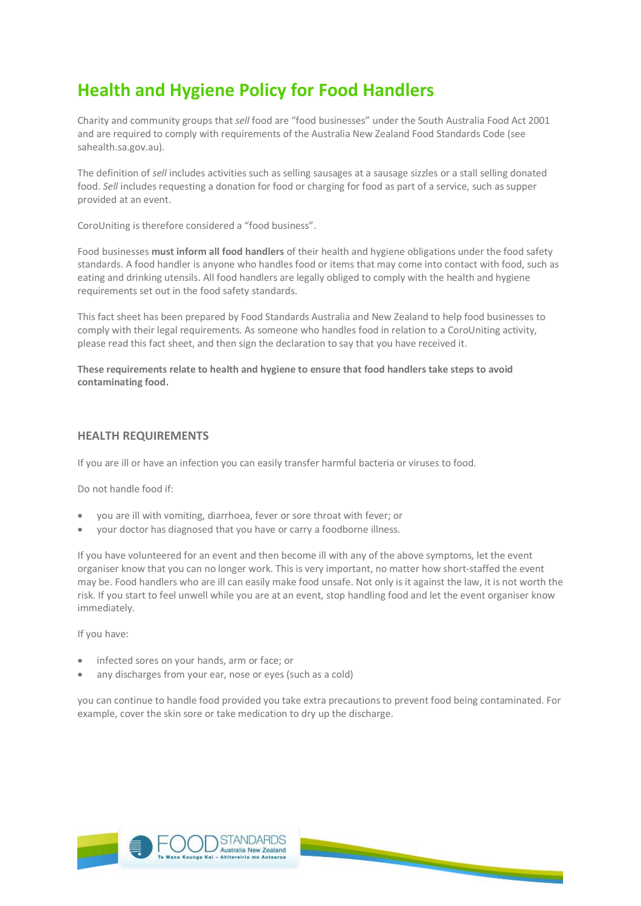# **Health and Hygiene Policy for Food Handlers**

Charity and community groups that *sell* food are "food businesses" under the South Australia [Food Act 2001](http://www.legislation.sa.gov.au/LZ/C/A/FOOD%20ACT%202001.aspx)  and are required to comply with requirements of the [Australia New Zealand Food Standards Code](http://www.foodstandards.gov.au/) (see sahealth.sa.gov.au).

The definition of *sell* includes activities such as selling sausages at a sausage sizzles or a stall selling donated food. *Sell* includes requesting a donation for food or charging for food as part of a service, such as supper provided at an event.

CoroUniting is therefore considered a "food business".

Food businesses **must inform all food handlers** of their health and hygiene obligations under the food safety standards. A food handler is anyone who handles food or items that may come into contact with food, such as eating and drinking utensils. All food handlers are legally obliged to comply with the health and hygiene requirements set out in the food safety standards.

This fact sheet has been prepared by Food Standards Australia and New Zealand to help food businesses to comply with their legal requirements. As someone who handles food in relation to a CoroUniting activity, please read this fact sheet, and then sign the declaration to say that you have received it.

**These requirements relate to health and hygiene to ensure that food handlers take steps to avoid contaminating food.** 

## **HEALTH REQUIREMENTS**

If you are ill or have an infection you can easily transfer harmful bacteria or viruses to food.

Do not handle food if:

- you are ill with vomiting, diarrhoea, fever or sore throat with fever; or
- your doctor has diagnosed that you have or carry a foodborne illness.

If you have volunteered for an event and then become ill with any of the above symptoms, let the event organiser know that you can no longer work. This is very important, no matter how short-staffed the event may be. Food handlers who are ill can easily make food unsafe. Not only is it against the law, it is not worth the risk. If you start to feel unwell while you are at an event, stop handling food and let the event organiser know immediately.

If you have:

- infected sores on your hands, arm or face; or
- any discharges from your ear, nose or eyes (such as a cold)

you can continue to handle food provided you take extra precautions to prevent food being contaminated. For example, cover the skin sore or take medication to dry up the discharge.

<u> The Company of the Company of the Company of the Company of the Company of the Company of the Company of the Company of the Company of the Company of the Company of the Company of the Company of the Company of the Compan</u>

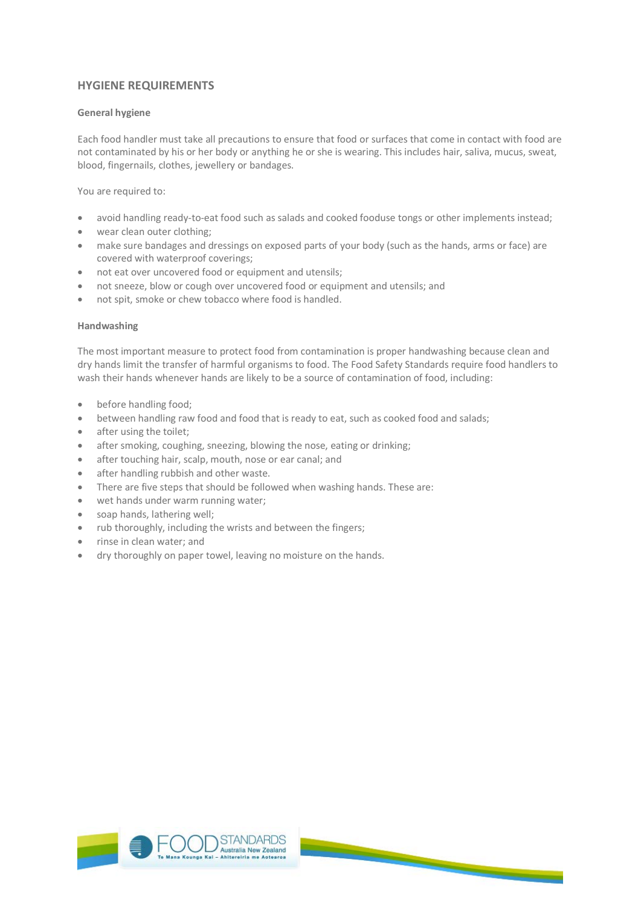## **HYGIENE REQUIREMENTS**

## **General hygiene**

Each food handler must take all precautions to ensure that food or surfaces that come in contact with food are not contaminated by his or her body or anything he or she is wearing. This includes hair, saliva, mucus, sweat, blood, fingernails, clothes, jewellery or bandages.

You are required to:

- avoid handling ready-to-eat food such as salads and cooked fooduse tongs or other implements instead;
- wear clean outer clothing:
- make sure bandages and dressings on exposed parts of your body (such as the hands, arms or face) are covered with waterproof coverings;
- not eat over uncovered food or equipment and utensils;
- not sneeze, blow or cough over uncovered food or equipment and utensils; and
- not spit, smoke or chew tobacco where food is handled.

## **Handwashing**

The most important measure to protect food from contamination is proper handwashing because clean and dry hands limit the transfer of harmful organisms to food. The Food Safety Standards require food handlers to wash their hands whenever hands are likely to be a source of contamination of food, including:

- before handling food;
- between handling raw food and food that is ready to eat, such as cooked food and salads;
- after using the toilet;
- after smoking, coughing, sneezing, blowing the nose, eating or drinking;
- after touching hair, scalp, mouth, nose or ear canal; and
- after handling rubbish and other waste.
- There are five steps that should be followed when washing hands. These are:
- wet hands under warm running water;
- soap hands, lathering well;
- rub thoroughly, including the wrists and between the fingers;
- rinse in clean water; and
- dry thoroughly on paper towel, leaving no moisture on the hands.

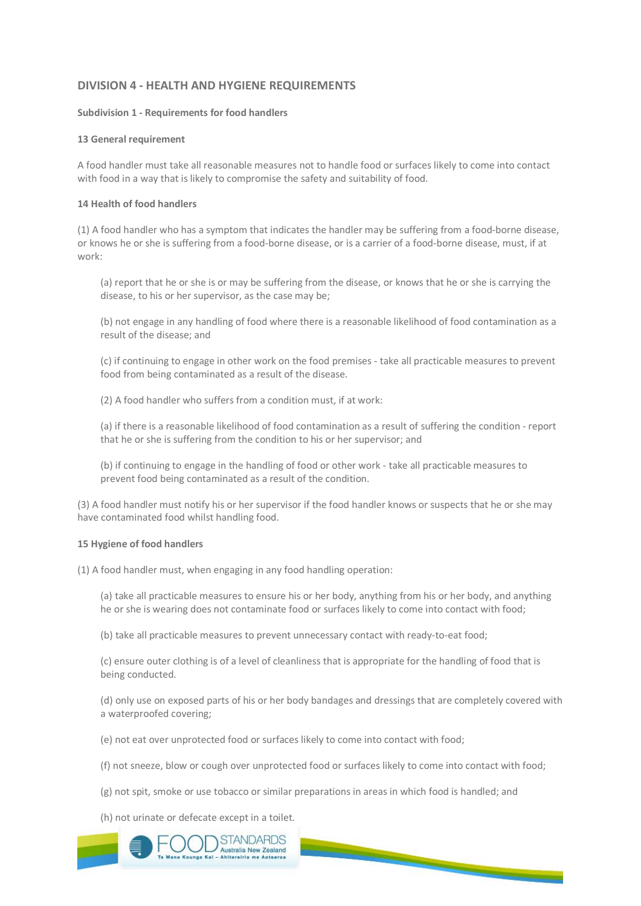## **DIVISION 4 - HEALTH AND HYGIENE REQUIREMENTS**

#### **Subdivision 1 - Requirements for food handlers**

#### **13 General requirement**

A food handler must take all reasonable measures not to handle food or surfaces likely to come into contact with food in a way that is likely to compromise the safety and suitability of food.

### **14 Health of food handlers**

(1) A food handler who has a symptom that indicates the handler may be suffering from a food-borne disease, or knows he or she is suffering from a food-borne disease, or is a carrier of a food-borne disease, must, if at work:

(a) report that he or she is or may be suffering from the disease, or knows that he or she is carrying the disease, to his or her supervisor, as the case may be;

(b) not engage in any handling of food where there is a reasonable likelihood of food contamination as a result of the disease; and

(c) if continuing to engage in other work on the food premises - take all practicable measures to prevent food from being contaminated as a result of the disease.

(2) A food handler who suffers from a condition must, if at work:

(a) if there is a reasonable likelihood of food contamination as a result of suffering the condition - report that he or she is suffering from the condition to his or her supervisor; and

(b) if continuing to engage in the handling of food or other work - take all practicable measures to prevent food being contaminated as a result of the condition.

(3) A food handler must notify his or her supervisor if the food handler knows or suspects that he or she may have contaminated food whilst handling food.

#### **15 Hygiene of food handlers**

(1) A food handler must, when engaging in any food handling operation:

(a) take all practicable measures to ensure his or her body, anything from his or her body, and anything he or she is wearing does not contaminate food or surfaces likely to come into contact with food;

(b) take all practicable measures to prevent unnecessary contact with ready-to-eat food;

(c) ensure outer clothing is of a level of cleanliness that is appropriate for the handling of food that is being conducted.

(d) only use on exposed parts of his or her body bandages and dressings that are completely covered with a waterproofed covering;

(e) not eat over unprotected food or surfaces likely to come into contact with food;

(f) not sneeze, blow or cough over unprotected food or surfaces likely to come into contact with food;

<u> The Common Seconds and Seconds and Seconds and Seconds and Seconds and Seconds and Seconds and Seconds and Seconds and Seconds and Seconds and Seconds and Seconds and Seconds and Seconds and Seconds and Seconds and Secon</u>

(g) not spit, smoke or use tobacco or similar preparations in areas in which food is handled; and

(h) not urinate or defecate except in a toilet.